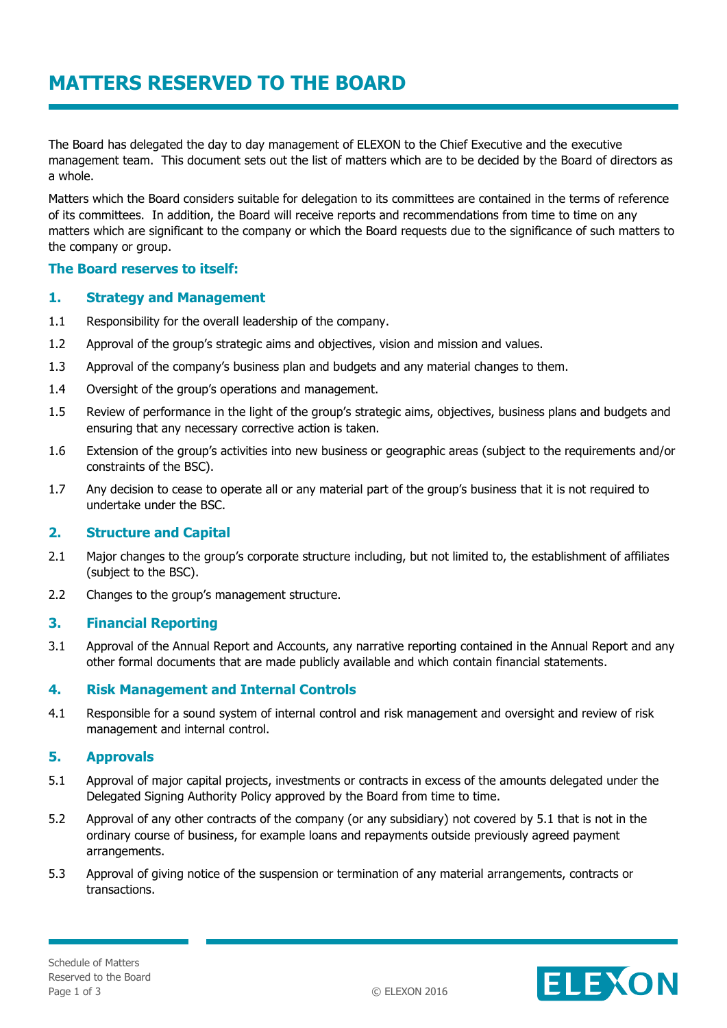The Board has delegated the day to day management of ELEXON to the Chief Executive and the executive management team. This document sets out the list of matters which are to be decided by the Board of directors as a whole.

Matters which the Board considers suitable for delegation to its committees are contained in the terms of reference of its committees. In addition, the Board will receive reports and recommendations from time to time on any matters which are significant to the company or which the Board requests due to the significance of such matters to the company or group.

# **The Board reserves to itself:**

## **1. Strategy and Management**

- 1.1 Responsibility for the overall leadership of the company.
- 1.2 Approval of the group's strategic aims and objectives, vision and mission and values.
- 1.3 Approval of the company's business plan and budgets and any material changes to them.
- 1.4 Oversight of the group's operations and management.
- 1.5 Review of performance in the light of the group's strategic aims, objectives, business plans and budgets and ensuring that any necessary corrective action is taken.
- 1.6 Extension of the group's activities into new business or geographic areas (subject to the requirements and/or constraints of the BSC).
- 1.7 Any decision to cease to operate all or any material part of the group's business that it is not required to undertake under the BSC.

## **2. Structure and Capital**

- 2.1 Major changes to the group's corporate structure including, but not limited to, the establishment of affiliates (subject to the BSC).
- 2.2 Changes to the group's management structure.

### **3. Financial Reporting**

3.1 Approval of the Annual Report and Accounts, any narrative reporting contained in the Annual Report and any other formal documents that are made publicly available and which contain financial statements.

## **4. Risk Management and Internal Controls**

4.1 Responsible for a sound system of internal control and risk management and oversight and review of risk management and internal control.

## **5. Approvals**

- 5.1 Approval of major capital projects, investments or contracts in excess of the amounts delegated under the Delegated Signing Authority Policy approved by the Board from time to time.
- 5.2 Approval of any other contracts of the company (or any subsidiary) not covered by 5.1 that is not in the ordinary course of business, for example loans and repayments outside previously agreed payment arrangements.
- 5.3 Approval of giving notice of the suspension or termination of any material arrangements, contracts or transactions.

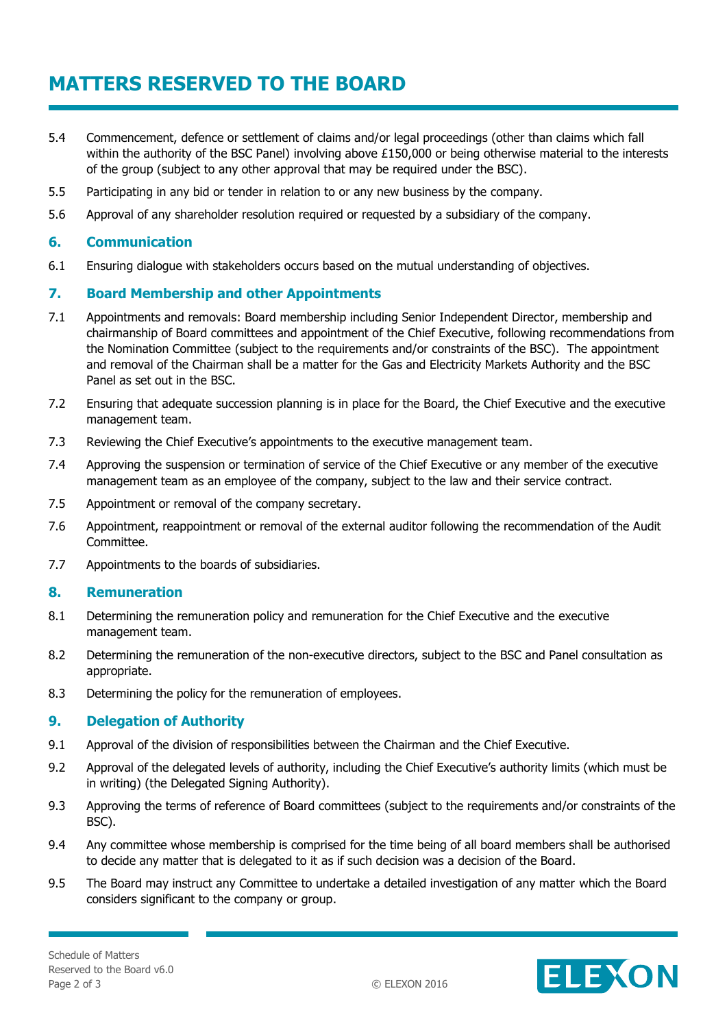# **MATTERS RESERVED TO THE BOARD**

- 5.4 Commencement, defence or settlement of claims and/or legal proceedings (other than claims which fall within the authority of the BSC Panel) involving above £150,000 or being otherwise material to the interests of the group (subject to any other approval that may be required under the BSC).
- 5.5 Participating in any bid or tender in relation to or any new business by the company.
- 5.6 Approval of any shareholder resolution required or requested by a subsidiary of the company.

#### **6. Communication**

6.1 Ensuring dialogue with stakeholders occurs based on the mutual understanding of objectives.

#### **7. Board Membership and other Appointments**

- 7.1 Appointments and removals: Board membership including Senior Independent Director, membership and chairmanship of Board committees and appointment of the Chief Executive, following recommendations from the Nomination Committee (subject to the requirements and/or constraints of the BSC). The appointment and removal of the Chairman shall be a matter for the Gas and Electricity Markets Authority and the BSC Panel as set out in the BSC.
- 7.2 Ensuring that adequate succession planning is in place for the Board, the Chief Executive and the executive management team.
- 7.3 Reviewing the Chief Executive's appointments to the executive management team.
- 7.4 Approving the suspension or termination of service of the Chief Executive or any member of the executive management team as an employee of the company, subject to the law and their service contract.
- 7.5 Appointment or removal of the company secretary.
- 7.6 Appointment, reappointment or removal of the external auditor following the recommendation of the Audit Committee.
- 7.7 Appointments to the boards of subsidiaries.

#### **8. Remuneration**

- 8.1 Determining the remuneration policy and remuneration for the Chief Executive and the executive management team.
- 8.2 Determining the remuneration of the non-executive directors, subject to the BSC and Panel consultation as appropriate.
- 8.3 Determining the policy for the remuneration of employees.

#### **9. Delegation of Authority**

- 9.1 Approval of the division of responsibilities between the Chairman and the Chief Executive.
- 9.2 Approval of the delegated levels of authority, including the Chief Executive's authority limits (which must be in writing) (the Delegated Signing Authority).
- 9.3 Approving the terms of reference of Board committees (subject to the requirements and/or constraints of the BSC).
- 9.4 Any committee whose membership is comprised for the time being of all board members shall be authorised to decide any matter that is delegated to it as if such decision was a decision of the Board.
- 9.5 The Board may instruct any Committee to undertake a detailed investigation of any matter which the Board considers significant to the company or group.